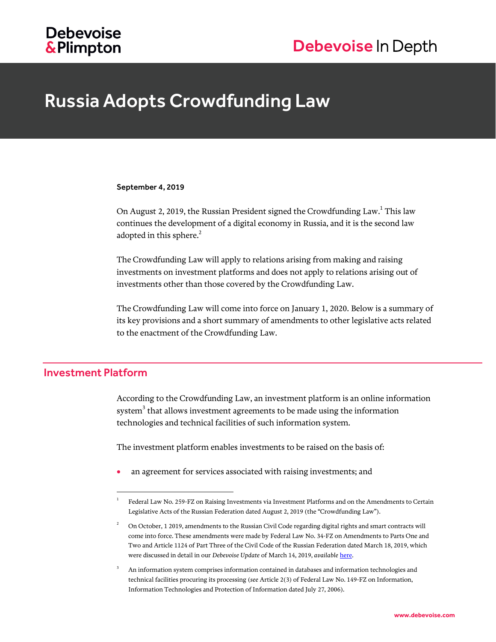# **Debevoise** & Plimpton

# Debevoise In Depth

# Russia Adopts Crowdfunding Law

#### September 4, 2019

On August 2, 2019, the Russian President signed the Crowdfunding Law. This law continues the development of a digital economy in Russia, and it is the second law adopted in this sphere. $^2$ 

The Crowdfunding Law will apply to relations arising from making and raising investments on investment platforms and does not apply to relations arising out of investments other than those covered by the Crowdfunding Law.

The Crowdfunding Law will come into force on January 1, 2020. Below is a summary of its key provisions and a short summary of amendments to other legislative acts related to the enactment of the Crowdfunding Law.

### Investment Platform

l

According to the Crowdfunding Law, an investment platform is an online information system $^3$  that allows investment agreements to be made using the information technologies and technical facilities of such information system.

The investment platform enables investments to be raised on the basis of:

an agreement for services associated with raising investments; and

<sup>1</sup> Federal Law No. 259-FZ on Raising Investments via Investment Platforms and on the Amendments to Certain Legislative Acts of the Russian Federation dated August 2, 2019 (the "Crowdfunding Law").

<sup>2</sup> On October, 1 2019, amendments to the Russian Civil Code regarding digital rights and smart contracts will come into force. These amendments were made by Federal Law No. 34-FZ on Amendments to Parts One and Two and Article 1124 of Part Three of the Civil Code of the Russian Federation dated March 18, 2019, which were discussed in detail in our *Debevoise Update* of March 14, 2019, *available* [here.](https://www.debevoise.com/-/media/files/insights/publications/2019/03/20190314_russian_state_duma_adopts_bill_on_digital_rights_in_third_reading_eng.pdf)

<sup>3</sup> An information system comprises information contained in databases and information technologies and technical facilities procuring its processing (*see* Article 2(3) of Federal Law No. 149-FZ on Information, Information Technologies and Protection of Information dated July 27, 2006).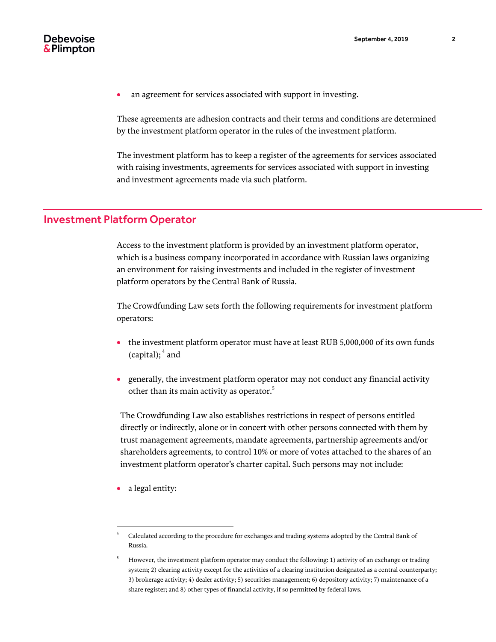

an agreement for services associated with support in investing.

These agreements are adhesion contracts and their terms and conditions are determined by the investment platform operator in the rules of the investment platform.

The investment platform has to keep a register of the agreements for services associated with raising investments, agreements for services associated with support in investing and investment agreements made via such platform.

# Investment Platform Operator

Access to the investment platform is provided by an investment platform operator, which is a business company incorporated in accordance with Russian laws organizing an environment for raising investments and included in the register of investment platform operators by the Central Bank of Russia.

The Crowdfunding Law sets forth the following requirements for investment platform operators:

- the investment platform operator must have at least RUB 5,000,000 of its own funds (capital);<sup>4</sup> and
- generally, the investment platform operator may not conduct any financial activity other than its main activity as operator. $^{\rm 5}$

The Crowdfunding Law also establishes restrictions in respect of persons entitled directly or indirectly, alone or in concert with other persons connected with them by trust management agreements, mandate agreements, partnership agreements and/or shareholders agreements, to control 10% or more of votes attached to the shares of an investment platform operator's charter capital. Such persons may not include:

• a legal entity:

l

<sup>4</sup> Calculated according to the procedure for exchanges and trading systems adopted by the Central Bank of Russia.

<sup>5</sup> However, the investment platform operator may conduct the following: 1) activity of an exchange or trading system; 2) clearing activity except for the activities of a clearing institution designated as a central counterparty; 3) brokerage activity; 4) dealer activity; 5) securities management; 6) depository activity; 7) maintenance of a share register; and 8) other types of financial activity, if so permitted by federal laws.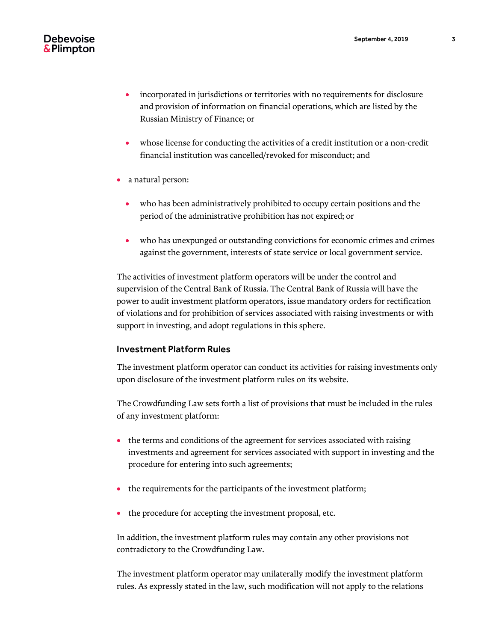- incorporated in jurisdictions or territories with no requirements for disclosure and provision of information on financial operations, which are listed by the Russian Ministry of Finance; or
- whose license for conducting the activities of a credit institution or a non-credit financial institution was cancelled/revoked for misconduct; and
- a natural person:
	- who has been administratively prohibited to occupy certain positions and the period of the administrative prohibition has not expired; or
	- who has unexpunged or outstanding convictions for economic crimes and crimes against the government, interests of state service or local government service.

The activities of investment platform operators will be under the control and supervision of the Central Bank of Russia. The Central Bank of Russia will have the power to audit investment platform operators, issue mandatory orders for rectification of violations and for prohibition of services associated with raising investments or with support in investing, and adopt regulations in this sphere.

#### Investment Platform Rules

The investment platform operator can conduct its activities for raising investments only upon disclosure of the investment platform rules on its website.

The Crowdfunding Law sets forth a list of provisions that must be included in the rules of any investment platform:

- the terms and conditions of the agreement for services associated with raising investments and agreement for services associated with support in investing and the procedure for entering into such agreements;
- the requirements for the participants of the investment platform;
- the procedure for accepting the investment proposal, etc.

In addition, the investment platform rules may contain any other provisions not contradictory to the Crowdfunding Law.

The investment platform operator may unilaterally modify the investment platform rules. As expressly stated in the law, such modification will not apply to the relations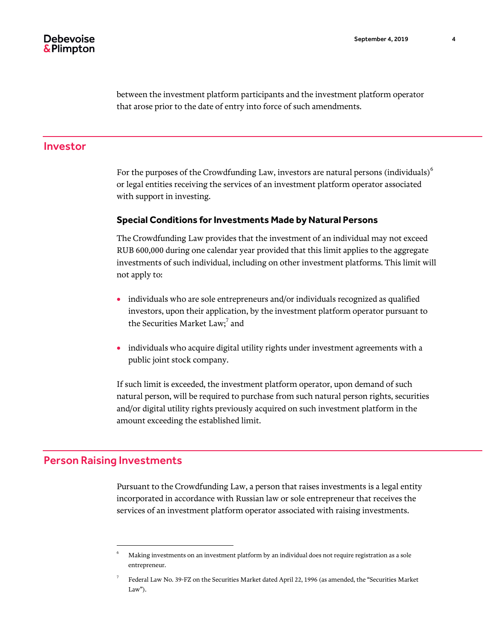between the investment platform participants and the investment platform operator that arose prior to the date of entry into force of such amendments.

#### Investor

For the purposes of the Crowdfunding Law, investors are natural persons (individuals)<sup>6</sup> or legal entities receiving the services of an investment platform operator associated with support in investing.

#### **Special Conditions for Investments Made by Natural Persons**

The Crowdfunding Law provides that the investment of an individual may not exceed RUB 600,000 during one calendar year provided that this limit applies to the aggregate investments of such individual, including on other investment platforms. This limit will not apply to:

- individuals who are sole entrepreneurs and/or individuals recognized as qualified investors, upon their application, by the investment platform operator pursuant to the Securities Market Law;<sup>7</sup> and
- individuals who acquire digital utility rights under investment agreements with a public joint stock company.

If such limit is exceeded, the investment platform operator, upon demand of such natural person, will be required to purchase from such natural person rights, securities and/or digital utility rights previously acquired on such investment platform in the amount exceeding the established limit.

#### Person Raising Investments

l

Pursuant to the Crowdfunding Law, a person that raises investments is a legal entity incorporated in accordance with Russian law or sole entrepreneur that receives the services of an investment platform operator associated with raising investments.

<sup>6</sup> Making investments on an investment platform by an individual does not require registration as a sole entrepreneur.

<sup>7</sup> Federal Law No. 39-FZ on the Securities Market dated April 22, 1996 (as amended, the "Securities Market Law").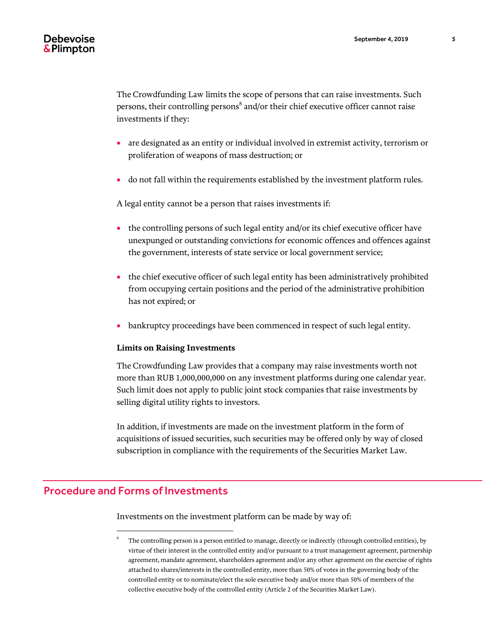The Crowdfunding Law limits the scope of persons that can raise investments. Such persons, their controlling persons $^8$  and/or their chief executive officer cannot raise investments if they:

- are designated as an entity or individual involved in extremist activity, terrorism or proliferation of weapons of mass destruction; or
- do not fall within the requirements established by the investment platform rules.

A legal entity cannot be a person that raises investments if:

- the controlling persons of such legal entity and/or its chief executive officer have unexpunged or outstanding convictions for economic offences and offences against the government, interests of state service or local government service;
- the chief executive officer of such legal entity has been administratively prohibited from occupying certain positions and the period of the administrative prohibition has not expired; or
- bankruptcy proceedings have been commenced in respect of such legal entity.

#### **Limits on Raising Investments**

The Crowdfunding Law provides that a company may raise investments worth not more than RUB 1,000,000,000 on any investment platforms during one calendar year. Such limit does not apply to public joint stock companies that raise investments by selling digital utility rights to investors.

In addition, if investments are made on the investment platform in the form of acquisitions of issued securities, such securities may be offered only by way of closed subscription in compliance with the requirements of the Securities Market Law.

## Procedure and Forms of Investments

l

Investments on the investment platform can be made by way of:

<sup>8</sup> The controlling person is a person entitled to manage, directly or indirectly (through controlled entities), by virtue of their interest in the controlled entity and/or pursuant to a trust management agreement, partnership agreement, mandate agreement, shareholders agreement and/or any other agreement on the exercise of rights attached to shares/interests in the controlled entity, more than 50% of votes in the governing body of the controlled entity or to nominate/elect the sole executive body and/or more than 50% of members of the collective executive body of the controlled entity (Article 2 of the Securities Market Law).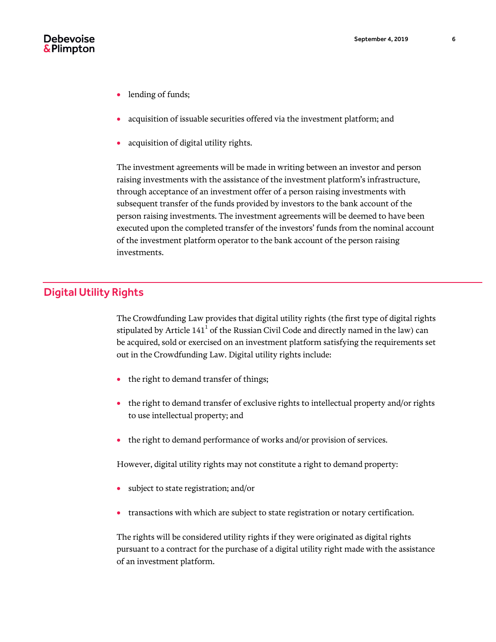

- lending of funds;
- acquisition of issuable securities offered via the investment platform; and
- acquisition of digital utility rights.

The investment agreements will be made in writing between an investor and person raising investments with the assistance of the investment platform's infrastructure, through acceptance of an investment offer of a person raising investments with subsequent transfer of the funds provided by investors to the bank account of the person raising investments. The investment agreements will be deemed to have been executed upon the completed transfer of the investors' funds from the nominal account of the investment platform operator to the bank account of the person raising investments.

# Digital Utility Rights

The Crowdfunding Law provides that digital utility rights (the first type of digital rights stipulated by Article 141 $^{\rm 1}$  of the Russian Civil Code and directly named in the law) can be acquired, sold or exercised on an investment platform satisfying the requirements set out in the Crowdfunding Law. Digital utility rights include:

- the right to demand transfer of things;
- the right to demand transfer of exclusive rights to intellectual property and/or rights to use intellectual property; and
- the right to demand performance of works and/or provision of services.

However, digital utility rights may not constitute a right to demand property:

- subject to state registration; and/or
- transactions with which are subject to state registration or notary certification.

The rights will be considered utility rights if they were originated as digital rights pursuant to a contract for the purchase of a digital utility right made with the assistance of an investment platform.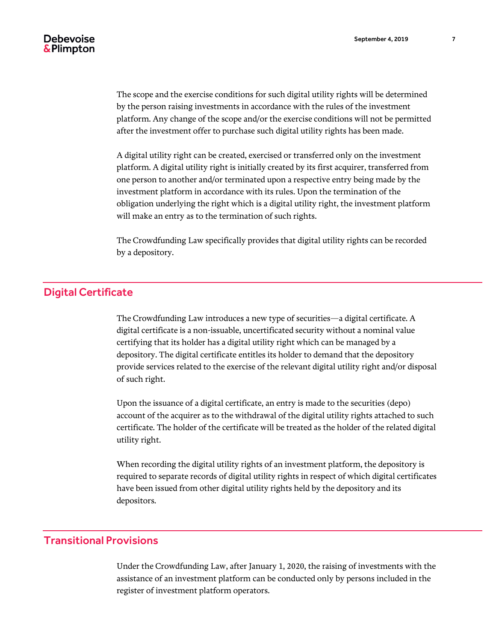The scope and the exercise conditions for such digital utility rights will be determined by the person raising investments in accordance with the rules of the investment platform. Any change of the scope and/or the exercise conditions will not be permitted after the investment offer to purchase such digital utility rights has been made.

A digital utility right can be created, exercised or transferred only on the investment platform. A digital utility right is initially created by its first acquirer, transferred from one person to another and/or terminated upon a respective entry being made by the investment platform in accordance with its rules. Upon the termination of the obligation underlying the right which is a digital utility right, the investment platform will make an entry as to the termination of such rights.

The Crowdfunding Law specifically provides that digital utility rights can be recorded by a depository.

# Digital Certificate

The Crowdfunding Law introduces a new type of securities—a digital certificate. A digital certificate is a non-issuable, uncertificated security without a nominal value certifying that its holder has a digital utility right which can be managed by a depository. The digital certificate entitles its holder to demand that the depository provide services related to the exercise of the relevant digital utility right and/or disposal of such right.

Upon the issuance of a digital certificate, an entry is made to the securities (depo) account of the acquirer as to the withdrawal of the digital utility rights attached to such certificate. The holder of the certificate will be treated as the holder of the related digital utility right.

When recording the digital utility rights of an investment platform, the depository is required to separate records of digital utility rights in respect of which digital certificates have been issued from other digital utility rights held by the depository and its depositors.

# Transitional Provisions

Under the Crowdfunding Law, after January 1, 2020, the raising of investments with the assistance of an investment platform can be conducted only by persons included in the register of investment platform operators.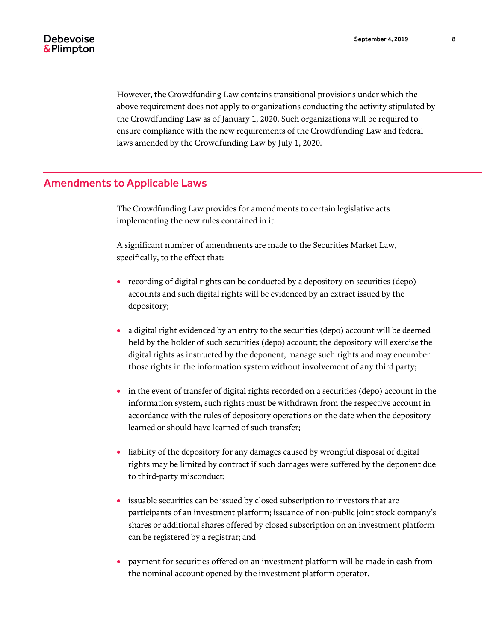However, the Crowdfunding Law contains transitional provisions under which the above requirement does not apply to organizations conducting the activity stipulated by the Crowdfunding Law as of January 1, 2020. Such organizations will be required to ensure compliance with the new requirements of the Crowdfunding Law and federal laws amended by the Crowdfunding Law by July 1, 2020.

## Amendments to Applicable Laws

The Crowdfunding Law provides for amendments to certain legislative acts implementing the new rules contained in it.

A significant number of amendments are made to the Securities Market Law, specifically, to the effect that:

- recording of digital rights can be conducted by a depository on securities (depo) accounts and such digital rights will be evidenced by an extract issued by the depository;
- a digital right evidenced by an entry to the securities (depo) account will be deemed held by the holder of such securities (depo) account; the depository will exercise the digital rights as instructed by the deponent, manage such rights and may encumber those rights in the information system without involvement of any third party;
- in the event of transfer of digital rights recorded on a securities (depo) account in the information system, such rights must be withdrawn from the respective account in accordance with the rules of depository operations on the date when the depository learned or should have learned of such transfer;
- liability of the depository for any damages caused by wrongful disposal of digital rights may be limited by contract if such damages were suffered by the deponent due to third-party misconduct;
- issuable securities can be issued by closed subscription to investors that are participants of an investment platform; issuance of non-public joint stock company's shares or additional shares offered by closed subscription on an investment platform can be registered by a registrar; and
- payment for securities offered on an investment platform will be made in cash from the nominal account opened by the investment platform operator.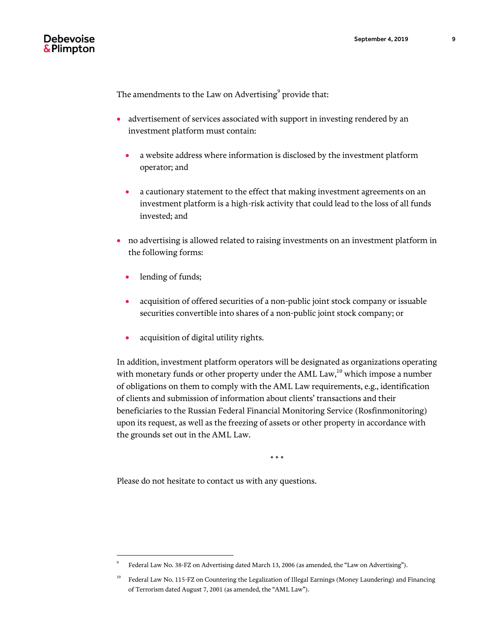The amendments to the Law on Advertising $^{\rm 9}$  provide that:

- advertisement of services associated with support in investing rendered by an investment platform must contain:
	- a website address where information is disclosed by the investment platform operator; and
	- a cautionary statement to the effect that making investment agreements on an investment platform is a high-risk activity that could lead to the loss of all funds invested; and
- no advertising is allowed related to raising investments on an investment platform in the following forms:
	- lending of funds;

l

- acquisition of offered securities of a non-public joint stock company or issuable securities convertible into shares of a non-public joint stock company; or
- acquisition of digital utility rights.

In addition, investment platform operators will be designated as organizations operating with monetary funds or other property under the AML Law, $^{10}$  which impose a number of obligations on them to comply with the AML Law requirements, e.g., identification of clients and submission of information about clients' transactions and their beneficiaries to the Russian Federal Financial Monitoring Service (Rosfinmonitoring) upon its request, as well as the freezing of assets or other property in accordance with the grounds set out in the AML Law.

\* \* \*

Please do not hesitate to contact us with any questions.

<sup>9</sup> Federal Law No. 38-FZ on Advertising dated March 13, 2006 (as amended, the "Law on Advertising").

<sup>10</sup> Federal Law No. 115-FZ on Countering the Legalization of Illegal Earnings (Money Laundering) and Financing of Terrorism dated August 7, 2001 (as amended, the "AML Law").